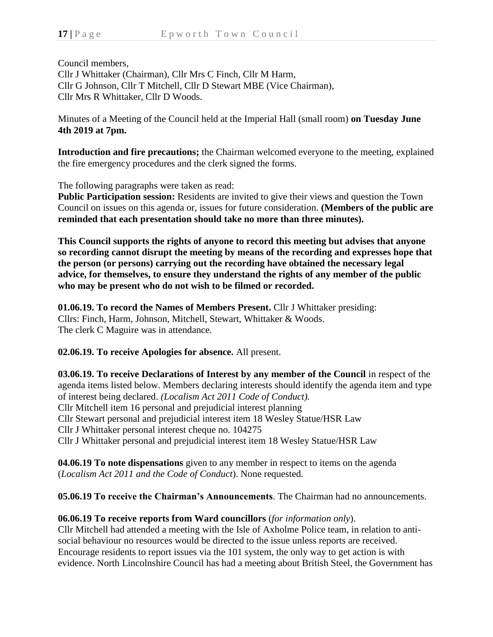Council members, Cllr J Whittaker (Chairman), Cllr Mrs C Finch, Cllr M Harm, Cllr G Johnson, Cllr T Mitchell, Cllr D Stewart MBE (Vice Chairman), Cllr Mrs R Whittaker, Cllr D Woods.

Minutes of a Meeting of the Council held at the Imperial Hall (small room) **on Tuesday June 4th 2019 at 7pm.**

**Introduction and fire precautions;** the Chairman welcomed everyone to the meeting, explained the fire emergency procedures and the clerk signed the forms.

The following paragraphs were taken as read:

**Public Participation session:** Residents are invited to give their views and question the Town Council on issues on this agenda or, issues for future consideration. **(Members of the public are reminded that each presentation should take no more than three minutes).**

**This Council supports the rights of anyone to record this meeting but advises that anyone so recording cannot disrupt the meeting by means of the recording and expresses hope that the person (or persons) carrying out the recording have obtained the necessary legal advice, for themselves, to ensure they understand the rights of any member of the public who may be present who do not wish to be filmed or recorded.**

**01.06.19. To record the Names of Members Present.** Cllr J Whittaker presiding: Cllrs: Finch, Harm, Johnson, Mitchell, Stewart, Whittaker & Woods. The clerk C Maguire was in attendance.

**02.06.19. To receive Apologies for absence.** All present.

**03.06.19. To receive Declarations of Interest by any member of the Council** in respect of the agenda items listed below. Members declaring interests should identify the agenda item and type of interest being declared. *(Localism Act 2011 Code of Conduct).* Cllr Mitchell item 16 personal and prejudicial interest planning Cllr Stewart personal and prejudicial interest item 18 Wesley Statue/HSR Law Cllr J Whittaker personal interest cheque no. 104275 Cllr J Whittaker personal and prejudicial interest item 18 Wesley Statue/HSR Law

**04.06.19 To note dispensations** given to any member in respect to items on the agenda (*Localism Act 2011 and the Code of Conduct*). None requested.

**05.06.19 To receive the Chairman's Announcements**. The Chairman had no announcements.

## **06.06.19 To receive reports from Ward councillors** (*for information only*).

Cllr Mitchell had attended a meeting with the Isle of Axholme Police team, in relation to antisocial behaviour no resources would be directed to the issue unless reports are received. Encourage residents to report issues via the 101 system, the only way to get action is with evidence. North Lincolnshire Council has had a meeting about British Steel, the Government has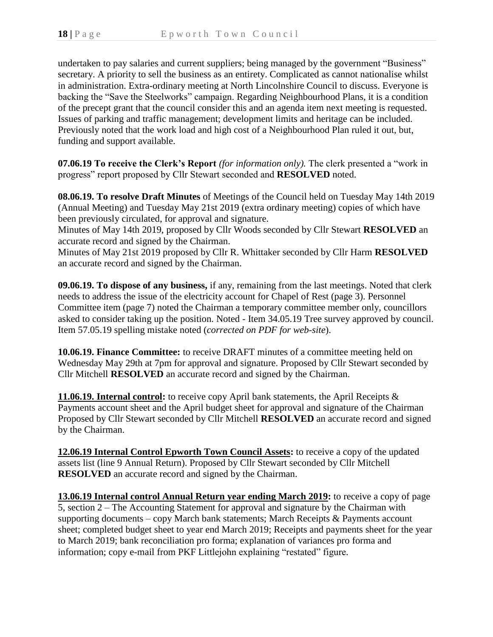undertaken to pay salaries and current suppliers; being managed by the government "Business" secretary. A priority to sell the business as an entirety. Complicated as cannot nationalise whilst in administration. Extra-ordinary meeting at North Lincolnshire Council to discuss. Everyone is backing the "Save the Steelworks" campaign. Regarding Neighbourhood Plans, it is a condition of the precept grant that the council consider this and an agenda item next meeting is requested. Issues of parking and traffic management; development limits and heritage can be included. Previously noted that the work load and high cost of a Neighbourhood Plan ruled it out, but, funding and support available.

**07.06.19 To receive the Clerk's Report** *(for information only).* The clerk presented a "work in progress" report proposed by Cllr Stewart seconded and **RESOLVED** noted.

**08.06.19. To resolve Draft Minutes** of Meetings of the Council held on Tuesday May 14th 2019 (Annual Meeting) and Tuesday May 21st 2019 (extra ordinary meeting) copies of which have been previously circulated, for approval and signature.

Minutes of May 14th 2019, proposed by Cllr Woods seconded by Cllr Stewart **RESOLVED** an accurate record and signed by the Chairman.

Minutes of May 21st 2019 proposed by Cllr R. Whittaker seconded by Cllr Harm **RESOLVED** an accurate record and signed by the Chairman.

**09.06.19. To dispose of any business,** if any, remaining from the last meetings. Noted that clerk needs to address the issue of the electricity account for Chapel of Rest (page 3). Personnel Committee item (page 7) noted the Chairman a temporary committee member only, councillors asked to consider taking up the position. Noted - Item 34.05.19 Tree survey approved by council. Item 57.05.19 spelling mistake noted (*corrected on PDF for web-site*).

**10.06.19. Finance Committee:** to receive DRAFT minutes of a committee meeting held on Wednesday May 29th at 7pm for approval and signature. Proposed by Cllr Stewart seconded by Cllr Mitchell **RESOLVED** an accurate record and signed by the Chairman.

**11.06.19. Internal control:** to receive copy April bank statements, the April Receipts & Payments account sheet and the April budget sheet for approval and signature of the Chairman Proposed by Cllr Stewart seconded by Cllr Mitchell **RESOLVED** an accurate record and signed by the Chairman.

**12.06.19 Internal Control Epworth Town Council Assets:** to receive a copy of the updated assets list (line 9 Annual Return). Proposed by Cllr Stewart seconded by Cllr Mitchell **RESOLVED** an accurate record and signed by the Chairman.

**13.06.19 Internal control Annual Return year ending March 2019:** to receive a copy of page 5, section 2 – The Accounting Statement for approval and signature by the Chairman with supporting documents – copy March bank statements; March Receipts & Payments account sheet; completed budget sheet to year end March 2019; Receipts and payments sheet for the year to March 2019; bank reconciliation pro forma; explanation of variances pro forma and information; copy e-mail from PKF Littlejohn explaining "restated" figure.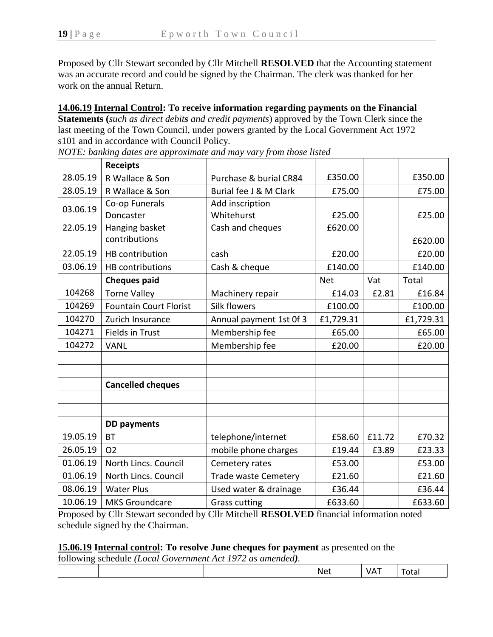Proposed by Cllr Stewart seconded by Cllr Mitchell **RESOLVED** that the Accounting statement was an accurate record and could be signed by the Chairman. The clerk was thanked for her work on the annual Return.

**14.06.19 Internal Control: To receive information regarding payments on the Financial** 

**Statements (***such as direct debits and credit payments*) approved by the Town Clerk since the last meeting of the Town Council, under powers granted by the Local Government Act 1972 s101 and in accordance with Council Policy.

|          | <b>Receipts</b>               |                             |            |        |           |
|----------|-------------------------------|-----------------------------|------------|--------|-----------|
| 28.05.19 | R Wallace & Son               | Purchase & burial CR84      | £350.00    |        | £350.00   |
| 28.05.19 | R Wallace & Son               | Burial fee J & M Clark      | £75.00     |        | £75.00    |
| 03.06.19 | Co-op Funerals                | Add inscription             |            |        |           |
|          | Doncaster                     | Whitehurst                  | £25.00     |        | £25.00    |
| 22.05.19 | Hanging basket                | Cash and cheques            | £620.00    |        |           |
|          | contributions                 |                             |            |        | £620.00   |
| 22.05.19 | HB contribution               | cash                        | £20.00     |        | £20.00    |
| 03.06.19 | <b>HB</b> contributions       | Cash & cheque               | £140.00    |        | £140.00   |
|          | <b>Cheques paid</b>           |                             | <b>Net</b> | Vat    | Total     |
| 104268   | <b>Torne Valley</b>           | Machinery repair            | £14.03     | £2.81  | £16.84    |
| 104269   | <b>Fountain Court Florist</b> | <b>Silk flowers</b>         | £100.00    |        | £100.00   |
| 104270   | Zurich Insurance              | Annual payment 1st Of 3     | £1,729.31  |        | £1,729.31 |
| 104271   | Fields in Trust               | Membership fee              | £65.00     |        | £65.00    |
| 104272   | <b>VANL</b>                   | Membership fee              | £20.00     |        | £20.00    |
|          |                               |                             |            |        |           |
|          |                               |                             |            |        |           |
|          | <b>Cancelled cheques</b>      |                             |            |        |           |
|          |                               |                             |            |        |           |
|          |                               |                             |            |        |           |
|          | <b>DD</b> payments            |                             |            |        |           |
| 19.05.19 | <b>BT</b>                     | telephone/internet          | £58.60     | £11.72 | £70.32    |
| 26.05.19 | <b>O2</b>                     | mobile phone charges        | £19.44     | £3.89  | £23.33    |
| 01.06.19 | North Lincs. Council          | Cemetery rates              | £53.00     |        | £53.00    |
| 01.06.19 | North Lincs. Council          | <b>Trade waste Cemetery</b> | £21.60     |        | £21.60    |
| 08.06.19 | <b>Water Plus</b>             | Used water & drainage       | £36.44     |        | £36.44    |
| 10.06.19 | <b>MKS Groundcare</b>         | <b>Grass cutting</b>        | £633.60    |        | £633.60   |

*NOTE: banking dates are approximate and may vary from those listed*

Proposed by Cllr Stewart seconded by Cllr Mitchell **RESOLVED** financial information noted schedule signed by the Chairman.

## **15.06.19 Internal control: To resolve June cheques for payment** as presented on the

following schedule *(Local Government Act 1972 as amended).*

| Ne،<br>∕ tai<br>.<br>$ -$ |
|---------------------------|
|---------------------------|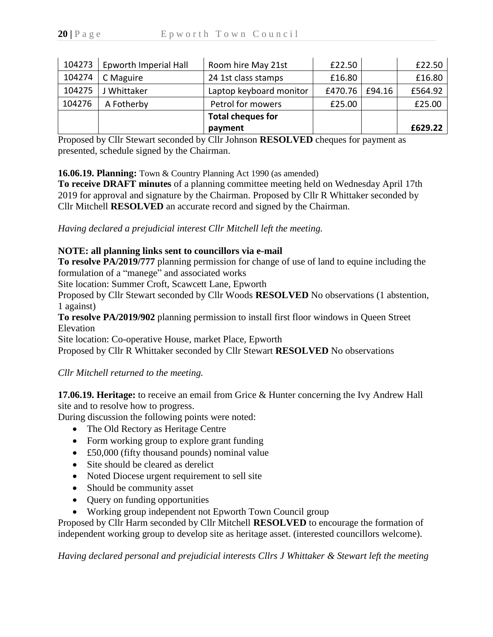| 104273 | Epworth Imperial Hall | Room hire May 21st       | £22.50  |        | £22.50  |
|--------|-----------------------|--------------------------|---------|--------|---------|
| 104274 | C Maguire             | 24 1st class stamps      | £16.80  |        | £16.80  |
| 104275 | J Whittaker           | Laptop keyboard monitor  | £470.76 | £94.16 | £564.92 |
| 104276 | A Fotherby            | Petrol for mowers        | £25.00  |        | £25.00  |
|        |                       | <b>Total cheques for</b> |         |        |         |
|        |                       | payment                  |         |        | £629.22 |

Proposed by Cllr Stewart seconded by Cllr Johnson **RESOLVED** cheques for payment as presented, schedule signed by the Chairman.

**16.06.19. Planning:** Town & Country Planning Act 1990 (as amended)

**To receive DRAFT minutes** of a planning committee meeting held on Wednesday April 17th 2019 for approval and signature by the Chairman. Proposed by Cllr R Whittaker seconded by Cllr Mitchell **RESOLVED** an accurate record and signed by the Chairman.

*Having declared a prejudicial interest Cllr Mitchell left the meeting.*

## **NOTE: all planning links sent to councillors via e-mail**

**To resolve PA/2019/777** planning permission for change of use of land to equine including the formulation of a "manege" and associated works

Site location: Summer Croft, Scawcett Lane, Epworth

Proposed by Cllr Stewart seconded by Cllr Woods **RESOLVED** No observations (1 abstention, 1 against)

**To resolve PA/2019/902** planning permission to install first floor windows in Queen Street Elevation

Site location: Co-operative House, market Place, Epworth

Proposed by Cllr R Whittaker seconded by Cllr Stewart **RESOLVED** No observations

*Cllr Mitchell returned to the meeting.*

**17.06.19. Heritage:** to receive an email from Grice & Hunter concerning the Ivy Andrew Hall site and to resolve how to progress.

During discussion the following points were noted:

- The Old Rectory as Heritage Centre
- Form working group to explore grant funding
- £50,000 (fifty thousand pounds) nominal value
- Site should be cleared as derelict
- Noted Diocese urgent requirement to sell site
- Should be community asset
- Query on funding opportunities
- Working group independent not Epworth Town Council group

Proposed by Cllr Harm seconded by Cllr Mitchell **RESOLVED** to encourage the formation of independent working group to develop site as heritage asset. (interested councillors welcome).

*Having declared personal and prejudicial interests Cllrs J Whittaker & Stewart left the meeting*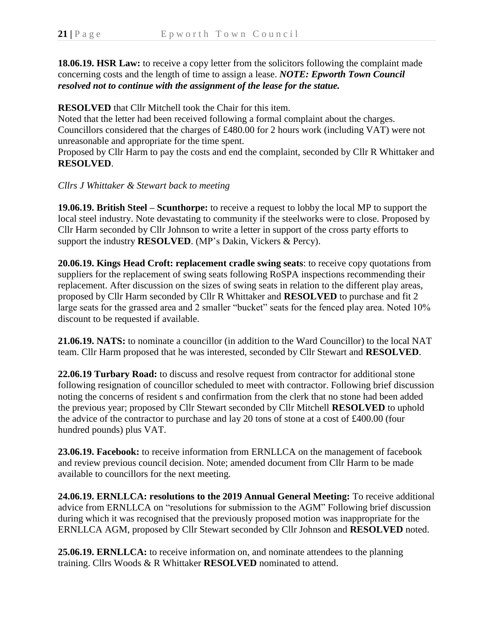**18.06.19. HSR Law:** to receive a copy letter from the solicitors following the complaint made concerning costs and the length of time to assign a lease. *NOTE: Epworth Town Council resolved not to continue with the assignment of the lease for the statue.*

**RESOLVED** that Cllr Mitchell took the Chair for this item.

Noted that the letter had been received following a formal complaint about the charges. Councillors considered that the charges of £480.00 for 2 hours work (including VAT) were not unreasonable and appropriate for the time spent.

Proposed by Cllr Harm to pay the costs and end the complaint, seconded by Cllr R Whittaker and **RESOLVED**.

## *Cllrs J Whittaker & Stewart back to meeting*

**19.06.19. British Steel – Scunthorpe:** to receive a request to lobby the local MP to support the local steel industry. Note devastating to community if the steelworks were to close. Proposed by Cllr Harm seconded by Cllr Johnson to write a letter in support of the cross party efforts to support the industry **RESOLVED**. (MP's Dakin, Vickers & Percy).

**20.06.19. Kings Head Croft: replacement cradle swing seats**: to receive copy quotations from suppliers for the replacement of swing seats following RoSPA inspections recommending their replacement. After discussion on the sizes of swing seats in relation to the different play areas, proposed by Cllr Harm seconded by Cllr R Whittaker and **RESOLVED** to purchase and fit 2 large seats for the grassed area and 2 smaller "bucket" seats for the fenced play area. Noted 10% discount to be requested if available.

**21.06.19. NATS:** to nominate a councillor (in addition to the Ward Councillor) to the local NAT team. Cllr Harm proposed that he was interested, seconded by Cllr Stewart and **RESOLVED**.

**22.06.19 Turbary Road:** to discuss and resolve request from contractor for additional stone following resignation of councillor scheduled to meet with contractor. Following brief discussion noting the concerns of resident s and confirmation from the clerk that no stone had been added the previous year; proposed by Cllr Stewart seconded by Cllr Mitchell **RESOLVED** to uphold the advice of the contractor to purchase and lay 20 tons of stone at a cost of £400.00 (four hundred pounds) plus VAT.

**23.06.19. Facebook:** to receive information from ERNLLCA on the management of facebook and review previous council decision. Note; amended document from Cllr Harm to be made available to councillors for the next meeting.

**24.06.19. ERNLLCA: resolutions to the 2019 Annual General Meeting:** To receive additional advice from ERNLLCA on "resolutions for submission to the AGM" Following brief discussion during which it was recognised that the previously proposed motion was inappropriate for the ERNLLCA AGM, proposed by Cllr Stewart seconded by Cllr Johnson and **RESOLVED** noted.

**25.06.19. ERNLLCA:** to receive information on, and nominate attendees to the planning training. Cllrs Woods & R Whittaker **RESOLVED** nominated to attend.